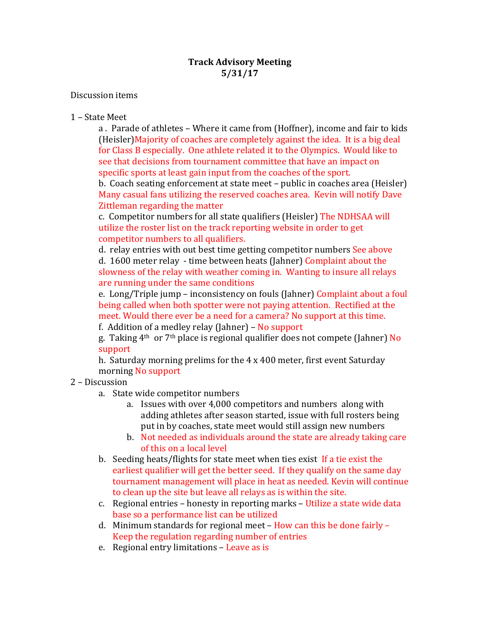## Discussion items

## 1 - State Meet

a. Parade of athletes – Where it came from (Hoffner), income and fair to kids (Heisler) Majority of coaches are completely against the idea. It is a big deal for Class B especially. One athlete related it to the Olympics. Would like to see that decisions from tournament committee that have an impact on specific sports at least gain input from the coaches of the sport.

b. Coach seating enforcement at state meet – public in coaches area (Heisler) Many casual fans utilizing the reserved coaches area. Kevin will notify Dave Zittleman regarding the matter

c. Competitor numbers for all state qualifiers (Heisler) The NDHSAA will utilize the roster list on the track reporting website in order to get competitor numbers to all qualifiers.

d. relay entries with out best time getting competitor numbers See above d. 1600 meter relay - time between heats (Jahner) Complaint about the slowness of the relay with weather coming in. Wanting to insure all relays are running under the same conditions

e. Long/Triple jump – inconsistency on fouls (Jahner) Complaint about a foul being called when both spotter were not paying attention. Rectified at the meet. Would there ever be a need for a camera? No support at this time.

f. Addition of a medley relay (Jahner) – No support

g. Taking  $4<sup>th</sup>$  or  $7<sup>th</sup>$  place is regional qualifier does not compete (Jahner) No support

h. Saturday morning prelims for the  $4 \times 400$  meter, first event Saturday morning No support

## 2 – Discussion

- a. State wide competitor numbers
	- a. Issues with over 4,000 competitors and numbers along with adding athletes after season started, issue with full rosters being put in by coaches, state meet would still assign new numbers
	- b. Not needed as individuals around the state are already taking care of this on a local level
- b. Seeding heats/flights for state meet when ties exist If a tie exist the earliest qualifier will get the better seed. If they qualify on the same day tournament management will place in heat as needed. Kevin will continue to clean up the site but leave all relays as is within the site.
- c. Regional entries honesty in reporting marks Utilize a state wide data base so a performance list can be utilized
- d. Minimum standards for regional meet  $-$  How can this be done fairly  $-$ Keep the regulation regarding number of entries
- e. Regional entry limitations Leave as is